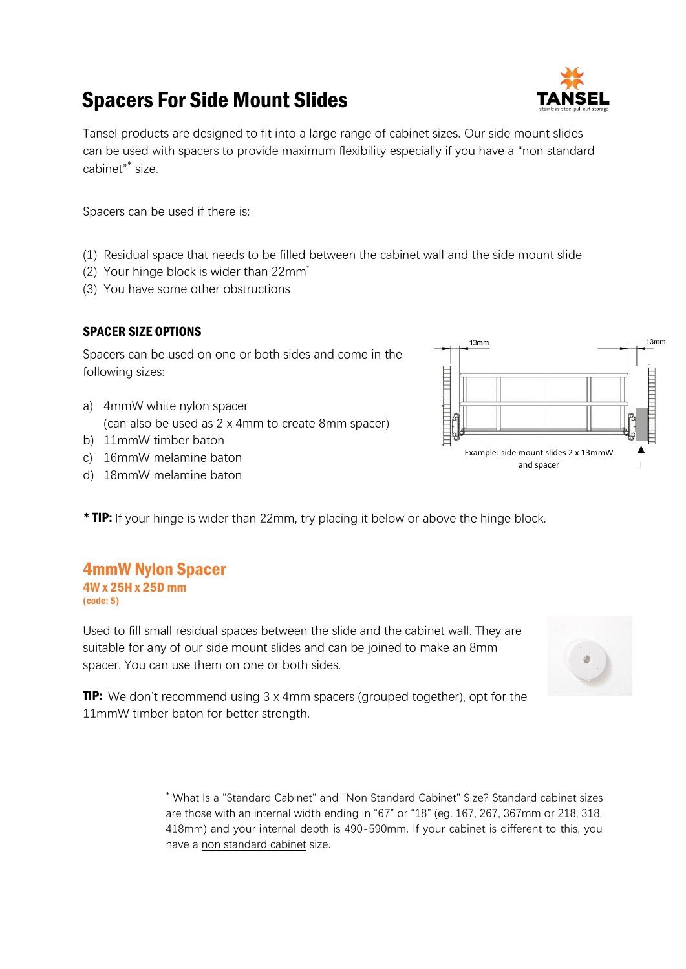# Spacers For Side Mount Slides



Tansel products are designed to fit into a large range of cabinet sizes. Our side mount slides can be used with spacers to provide maximum flexibility especially if you have a "non standard cabinet" \* size.

Spacers can be used if there is:

- (1) Residual space that needs to be filled between the cabinet wall and the side mount slide
- (2) Your hinge block is wider than 22mm\*
- (3) You have some other obstructions

#### SPACER SIZE OPTIONS

Spacers can be used on one or both sides and come in the following sizes:

- a) 4mmW white nylon spacer (can also be used as 2 x 4mm to create 8mm spacer)
- b) 11mmW timber baton
- c) 16mmW melamine baton
- d) 18mmW melamine baton
- \* TIP: If your hinge is wider than 22mm, try placing it below or above the hinge block.

## 4mmW Nylon Spacer

4W x 25H x 25D mm (code: S)

Used to fill small residual spaces between the slide and the cabinet wall. They are suitable for any of our side mount slides and can be joined to make an 8mm spacer. You can use them on one or both sides.

 $13mm$ 

Example: side mount slides 2 x 13mmW and spacer

 $13<sub>mm</sub>$ 

**THE PERSON** 

**TIP:** We don't recommend using 3 x 4mm spacers (grouped together), opt for the 11mmW timber baton for better strength.

> \* What Is a "Standard Cabinet" and "Non Standard Cabinet" Size? Standard cabinet sizes are those with an internal width ending in "67" or "18" (eg. 167, 267, 367mm or 218, 318, 418mm) and your internal depth is 490-590mm. If your cabinet is different to this, you have a non standard cabinet size.